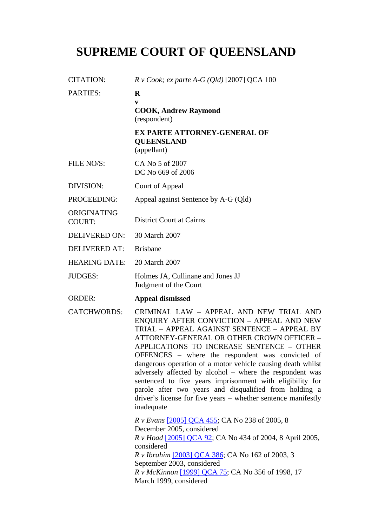## **SUPREME COURT OF QUEENSLAND**

| <b>CITATION:</b>             | $R \, v \, Cook$ ; ex parte A-G (Qld) [2007] QCA 100                                                                                                                                                                                                                                                                                                                                                                                                                                                                                                                                                               |
|------------------------------|--------------------------------------------------------------------------------------------------------------------------------------------------------------------------------------------------------------------------------------------------------------------------------------------------------------------------------------------------------------------------------------------------------------------------------------------------------------------------------------------------------------------------------------------------------------------------------------------------------------------|
| <b>PARTIES:</b>              | $\bf{R}$<br>V<br><b>COOK, Andrew Raymond</b><br>(respondent)                                                                                                                                                                                                                                                                                                                                                                                                                                                                                                                                                       |
|                              | <b>EX PARTE ATTORNEY-GENERAL OF</b><br><b>QUEENSLAND</b><br>(appellant)                                                                                                                                                                                                                                                                                                                                                                                                                                                                                                                                            |
| FILE NO/S:                   | CA No 5 of 2007<br>DC No 669 of 2006                                                                                                                                                                                                                                                                                                                                                                                                                                                                                                                                                                               |
| DIVISION:                    | Court of Appeal                                                                                                                                                                                                                                                                                                                                                                                                                                                                                                                                                                                                    |
| PROCEEDING:                  | Appeal against Sentence by A-G (Qld)                                                                                                                                                                                                                                                                                                                                                                                                                                                                                                                                                                               |
| ORIGINATING<br><b>COURT:</b> | <b>District Court at Cairns</b>                                                                                                                                                                                                                                                                                                                                                                                                                                                                                                                                                                                    |
| <b>DELIVERED ON:</b>         | 30 March 2007                                                                                                                                                                                                                                                                                                                                                                                                                                                                                                                                                                                                      |
| <b>DELIVERED AT:</b>         | <b>Brisbane</b>                                                                                                                                                                                                                                                                                                                                                                                                                                                                                                                                                                                                    |
| <b>HEARING DATE:</b>         | 20 March 2007                                                                                                                                                                                                                                                                                                                                                                                                                                                                                                                                                                                                      |
| <b>JUDGES:</b>               | Holmes JA, Cullinane and Jones JJ<br>Judgment of the Court                                                                                                                                                                                                                                                                                                                                                                                                                                                                                                                                                         |
| <b>ORDER:</b>                | <b>Appeal dismissed</b>                                                                                                                                                                                                                                                                                                                                                                                                                                                                                                                                                                                            |
| <b>CATCHWORDS:</b>           | CRIMINAL LAW - APPEAL AND NEW TRIAL AND<br>ENQUIRY AFTER CONVICTION - APPEAL AND NEW<br>TRIAL - APPEAL AGAINST SENTENCE - APPEAL BY<br>ATTORNEY-GENERAL OR OTHER CROWN OFFICER -<br>APPLICATIONS TO INCREASE SENTENCE - OTHER<br>OFFENCES - where the respondent was convicted of<br>dangerous operation of a motor vehicle causing death whilst<br>adversely affected by alcohol - where the respondent was<br>sentenced to five years imprisonment with eligibility for<br>parole after two years and disqualified from holding a<br>driver's license for five years – whether sentence manifestly<br>inadequate |
|                              | <i>R v Evans</i> [2005] QCA 455; CA No 238 of 2005, 8<br>December 2005, considered<br><i>R v Hoad</i> [2005] QCA 92; CA No 434 of 2004, 8 April 2005,<br>considered<br>R v Ibrahim [2003] QCA 386; CA No 162 of 2003, 3<br>September 2003, considered<br>R v McKinnon [1999] QCA 75; CA No 356 of 1998, 17<br>March 1999, considered                                                                                                                                                                                                                                                                               |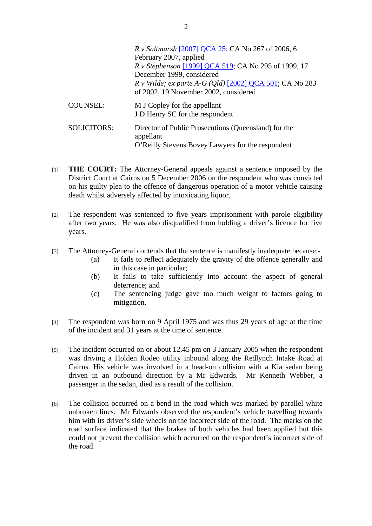|                    | <i>R v Saltmarsh</i> [2007] QCA 25; CA No 267 of 2006, 6<br>February 2007, applied<br>R v Stephenson [1999] QCA 519; CA No 295 of 1999, 17<br>December 1999, considered<br>$R \, v$ Wilde; ex parte A-G (Qld) [2002] QCA 501; CA No 283<br>of 2002, 19 November 2002, considered |
|--------------------|----------------------------------------------------------------------------------------------------------------------------------------------------------------------------------------------------------------------------------------------------------------------------------|
| <b>COUNSEL:</b>    | M J Copley for the appellant<br>J D Henry SC for the respondent                                                                                                                                                                                                                  |
| <b>SOLICITORS:</b> | Director of Public Prosecutions (Queensland) for the<br>appellant<br>O'Reilly Stevens Bovey Lawyers for the respondent                                                                                                                                                           |

- [1] **THE COURT:** The Attorney-General appeals against a sentence imposed by the District Court at Cairns on 5 December 2006 on the respondent who was convicted on his guilty plea to the offence of dangerous operation of a motor vehicle causing death whilst adversely affected by intoxicating liquor.
- [2] The respondent was sentenced to five years imprisonment with parole eligibility after two years. He was also disqualified from holding a driver's licence for five years.
- [3] The Attorney-General contends that the sentence is manifestly inadequate because:-
	- (a) It fails to reflect adequately the gravity of the offence generally and in this case in particular;
	- (b) It fails to take sufficiently into account the aspect of general deterrence; and
	- (c) The sentencing judge gave too much weight to factors going to mitigation.
- [4] The respondent was born on 9 April 1975 and was thus 29 years of age at the time of the incident and 31 years at the time of sentence.
- [5] The incident occurred on or about 12.45 pm on 3 January 2005 when the respondent was driving a Holden Rodeo utility inbound along the Redlynch Intake Road at Cairns. His vehicle was involved in a head-on collision with a Kia sedan being driven in an outbound direction by a Mr Edwards. Mr Kenneth Webber, a passenger in the sedan, died as a result of the collision.
- [6] The collision occurred on a bend in the road which was marked by parallel white unbroken lines. Mr Edwards observed the respondent's vehicle travelling towards him with its driver's side wheels on the incorrect side of the road. The marks on the road surface indicated that the brakes of both vehicles had been applied but this could not prevent the collision which occurred on the respondent's incorrect side of the road.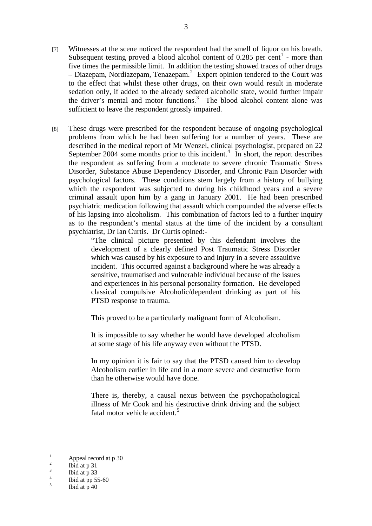sufficient to leave the respondent grossly impaired.

the driver's mental and motor functions.<sup>3</sup> The blood alcohol content alone was

[8] These drugs were prescribed for the respondent because of ongoing psychological problems from which he had been suffering for a number of years. These are described in the medical report of Mr Wenzel, clinical psychologist, prepared on 22 September 2004 some months prior to this incident. $\frac{1}{4}$  In short, the report describes the respondent as suffering from a moderate to severe chronic Traumatic Stress Disorder, Substance Abuse Dependency Disorder, and Chronic Pain Disorder with psychological factors. These conditions stem largely from a history of bullying which the respondent was subjected to during his childhood years and a severe criminal assault upon him by a gang in January 2001. He had been prescribed psychiatric medication following that assault which compounded the adverse effects of his lapsing into alcoholism. This combination of factors led to a further inquiry as to the respondent's mental status at the time of the incident by a consultant psychiatrist, Dr Ian Curtis. Dr Curtis opined:-

> "The clinical picture presented by this defendant involves the development of a clearly defined Post Traumatic Stress Disorder which was caused by his exposure to and injury in a severe assaultive incident. This occurred against a background where he was already a sensitive, traumatised and vulnerable individual because of the issues and experiences in his personal personality formation. He developed classical compulsive Alcoholic/dependent drinking as part of his PTSD response to trauma.

This proved to be a particularly malignant form of Alcoholism.

It is impossible to say whether he would have developed alcoholism at some stage of his life anyway even without the PTSD.

In my opinion it is fair to say that the PTSD caused him to develop Alcoholism earlier in life and in a more severe and destructive form than he otherwise would have done.

There is, thereby, a causal nexus between the psychopathological illness of Mr Cook and his destructive drink driving and the subject fatal motor vehicle accident.<sup>5</sup>

 $\frac{1}{1}$ Appeal record at p 30

 $\overline{2}$ Ibid at p 31

<sup>3</sup> Ibid at p 33

<sup>4</sup> Ibid at pp 55-60

<sup>5</sup> Ibid at p 40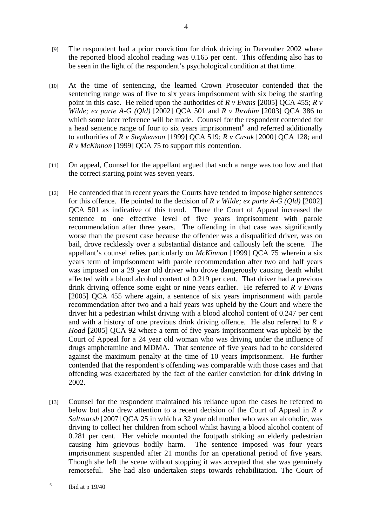[9] The respondent had a prior conviction for drink driving in December 2002 where the reported blood alcohol reading was 0.165 per cent. This offending also has to be seen in the light of the respondent's psychological condition at that time.

4

- [10] At the time of sentencing, the learned Crown Prosecutor contended that the sentencing range was of five to six years imprisonment with six being the starting point in this case. He relied upon the authorities of *R v Evans* [2005] QCA 455; *R v Wilde; ex parte A-G (Qld)* [2002] QCA 501 and *R v Ibrahim* [2003] QCA 386 to which some later reference will be made. Counsel for the respondent contended for a head sentence range of four to six years imprisonment<sup>6</sup> and referred additionally to authorities of *R v Stephenson* [1999] QCA 519; *R v Cusak* [2000] QCA 128; and *R v McKinnon* [1999] QCA 75 to support this contention.
- [11] On appeal, Counsel for the appellant argued that such a range was too low and that the correct starting point was seven years.
- [12] He contended that in recent years the Courts have tended to impose higher sentences for this offence. He pointed to the decision of *R v Wilde; ex parte A-G (Qld)* [2002] QCA 501 as indicative of this trend. There the Court of Appeal increased the sentence to one effective level of five years imprisonment with parole recommendation after three years. The offending in that case was significantly worse than the present case because the offender was a disqualified driver, was on bail, drove recklessly over a substantial distance and callously left the scene. The appellant's counsel relies particularly on *McKinnon* [1999] QCA 75 wherein a six years term of imprisonment with parole recommendation after two and half years was imposed on a 29 year old driver who drove dangerously causing death whilst affected with a blood alcohol content of 0.219 per cent. That driver had a previous drink driving offence some eight or nine years earlier. He referred to *R v Evans* [2005] QCA 455 where again, a sentence of six years imprisonment with parole recommendation after two and a half years was upheld by the Court and where the driver hit a pedestrian whilst driving with a blood alcohol content of 0.247 per cent and with a history of one previous drink driving offence. He also referred to *R v Hoad* [2005] QCA 92 where a term of five years imprisonment was upheld by the Court of Appeal for a 24 year old woman who was driving under the influence of drugs amphetamine and MDMA. That sentence of five years had to be considered against the maximum penalty at the time of 10 years imprisonment. He further contended that the respondent's offending was comparable with those cases and that offending was exacerbated by the fact of the earlier conviction for drink driving in 2002.
- [13] Counsel for the respondent maintained his reliance upon the cases he referred to below but also drew attention to a recent decision of the Court of Appeal in *R v Saltmarsh* [2007] QCA 25 in which a 32 year old mother who was an alcoholic, was driving to collect her children from school whilst having a blood alcohol content of 0.281 per cent. Her vehicle mounted the footpath striking an elderly pedestrian causing him grievous bodily harm. The sentence imposed was four years imprisonment suspended after 21 months for an operational period of five years. Though she left the scene without stopping it was accepted that she was genuinely remorseful. She had also undertaken steps towards rehabilitation. The Court of

 $\frac{1}{6}$ Ibid at p 19/40